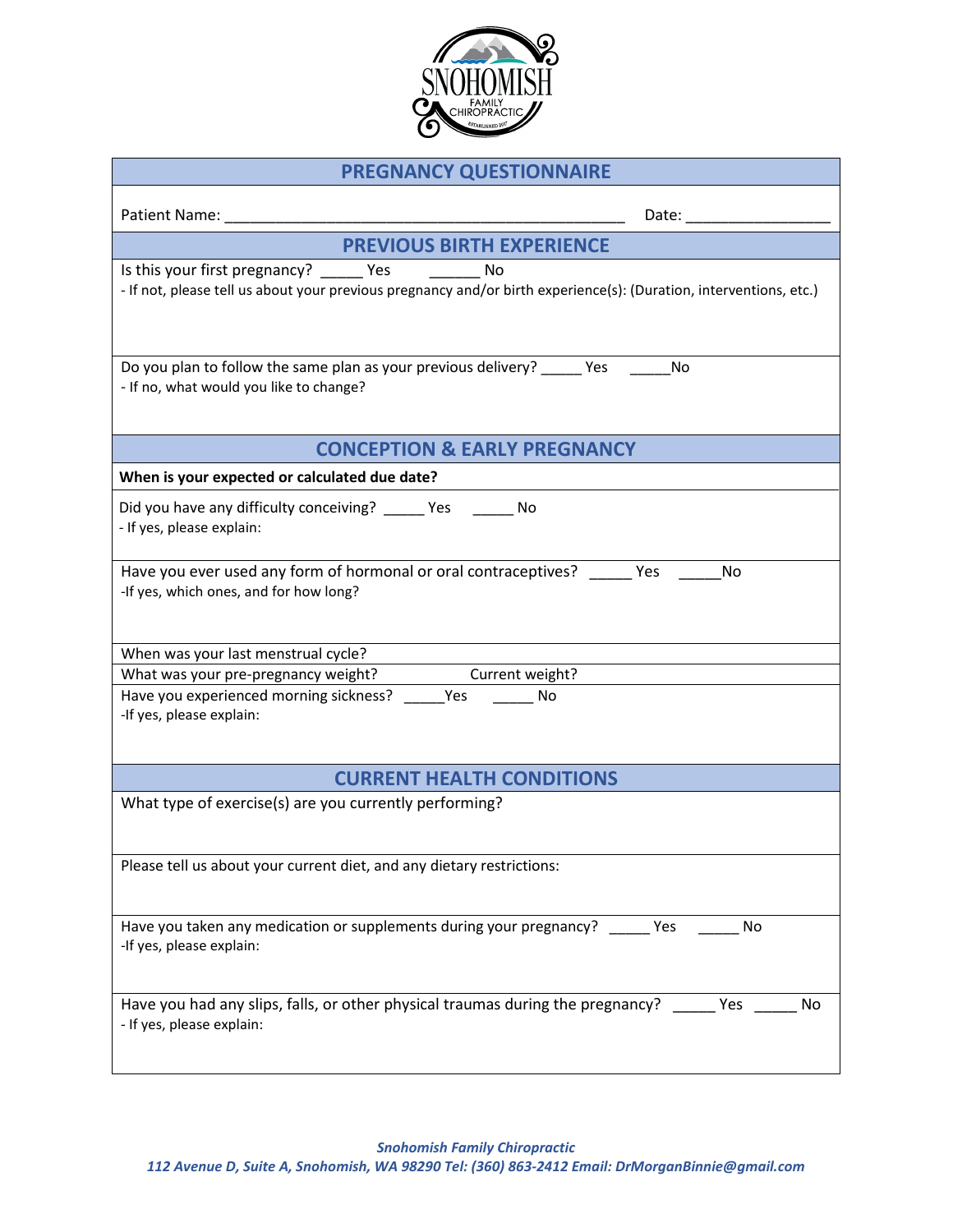

| <b>PREGNANCY QUESTIONNAIRE</b>                                                                                                                                                                                                                  |
|-------------------------------------------------------------------------------------------------------------------------------------------------------------------------------------------------------------------------------------------------|
| Patient Name:<br>Date: the contract of the contract of the contract of the contract of the contract of the contract of the contract of the contract of the contract of the contract of the contract of the contract of the contract of the cont |
| <b>PREVIOUS BIRTH EXPERIENCE</b>                                                                                                                                                                                                                |
| Is this your first pregnancy? _______ Yes ____________ No<br>- If not, please tell us about your previous pregnancy and/or birth experience(s): (Duration, interventions, etc.)                                                                 |
| Do you plan to follow the same plan as your previous delivery? ______ Yes<br><b>No</b><br>- If no, what would you like to change?                                                                                                               |
| <b>CONCEPTION &amp; EARLY PREGNANCY</b>                                                                                                                                                                                                         |
| When is your expected or calculated due date?                                                                                                                                                                                                   |
| Did you have any difficulty conceiving? _____ Yes ______ No<br>- If yes, please explain:                                                                                                                                                        |
| Have you ever used any form of hormonal or oral contraceptives? ______ Yes<br>No<br>-If yes, which ones, and for how long?                                                                                                                      |
| When was your last menstrual cycle?                                                                                                                                                                                                             |
| What was your pre-pregnancy weight?<br>Current weight?<br>Have you experienced morning sickness? Yes<br>No<br>-If yes, please explain:                                                                                                          |
| <b>CURRENT HEALTH CONDITIONS</b>                                                                                                                                                                                                                |
| What type of exercise(s) are you currently performing?                                                                                                                                                                                          |
| Please tell us about your current diet, and any dietary restrictions:                                                                                                                                                                           |
| Have you taken any medication or supplements during your pregnancy?<br>Yes<br>No<br>-If yes, please explain:                                                                                                                                    |
| Have you had any slips, falls, or other physical traumas during the pregnancy?<br>Yes<br>No<br>- If yes, please explain:                                                                                                                        |